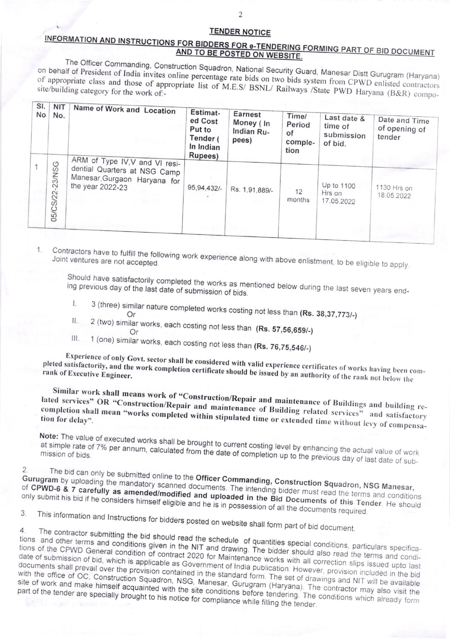## **TENDER NOTICE**

## INFORMATION AND INSTRUCTIONS FOR BIDDERS FOR e-TENDERING FORMING PART OF BID DOCUMENT AND TO BE POSTED ON WEBSITE.

The Officer Commanding, Construction Squadron, National Security Guard, Manesar Distt Gurugram (Haryana) on behalf of President of India invites online percentage rate bids on two bids system from CPWD enlisted contractors of appropriate class and those of appropriate list of M.E.S/ BSNL/ Railways /State PWD Haryana (B&R) compo-

| No<br>No.             | Name of Work and Location                                                                                          | Estimat-<br>ed Cost<br>Put to<br>Tender (<br>In Indian<br>Rupees) | Earnest<br>Money (In<br>Indian Ru-<br>pees) | Time/<br>Period<br>of<br>comple-<br>tion | Last date &<br>time of<br>submission<br>of bid. | Date and Time<br>of opening of<br>tender |
|-----------------------|--------------------------------------------------------------------------------------------------------------------|-------------------------------------------------------------------|---------------------------------------------|------------------------------------------|-------------------------------------------------|------------------------------------------|
| $-23/NSG$<br>05/CS/22 | ARM of Type IV, V and VI resi-<br>dential Quarters at NSG Camp<br>Manesar, Gurgaon Haryana for<br>the year 2022-23 | 95, 94, 432/-                                                     | Rs. 1,91,889/-                              | 12<br>months                             | Up to 1100<br>Hrs on<br>17.05.2022              | 1130 Hrs on<br>18.05.2022                |

Contractors have to fulfill the following work experience along with above enlistment, to be eligible to apply.

Should have satisfactorily completed the works as mentioned below during the last seven years ending previous day of the last date of submission of bids.

- 3 (three) similar nature completed works costing not less than (Rs. 38,37,773/-)  $\mathbf{I}$
- $\mathbf{II}$ .
- 2 (two) similar works, each costing not less than (Rs. 57,56,659/-)
- 1 (one) similar works, each costing not less than (Rs. 76,75,546/-)  $III.$

Experience of only Govt. sector shall be considered with valid experience certificates of works having been completed satisfactorily, and the work completion certificate should be issued by an authority of the rank not below the

Similar work shall means work of "Construction/Repair and maintenance of Buildings and building related services" OR "Construction/Repair and maintenance of Building related services" and satisfactory completion shall mean "works completed within stipulated time or extended time without levy of compensa-

Note: The value of executed works shall be brought to current costing level by enhancing the actual value of work at simple rate of 7% per annum, calculated from the date of completion up to the previous day of last date of sub-

The bid can only be submitted online to the Officer Commanding, Construction Squadron, NSG Manesar,  $\overline{2}$ Gurugram by uploading the mandatory scanned documents. The intending bidder must read the terms and conditions of CPWD-6 & 7 carefully as amended/modified and uploaded in the Bid Documents of this Tender. He should only submit his bid if he considers himself eligible and he is in possession of all the documents required.

This information and Instructions for bidders posted on website shall form part of bid document.

The contractor submitting the bid should read the schedule of quantities special conditions, particulars specifica- $\overline{4}$ tions and other terms and conditions given in the NIT and drawing. The bidder should also read the terms and conditions of the CPWD General condition of contract 2020 for Maintenance works with all correction slips issued upto last date of submission of bid, which is applicable as Government of India publication. However, provision included in the bid documents shall prevail over the provision contained in the standard form. The set of drawings and NIT will be available with the office of OC, Construction Squadron, NSG, Manesar, Gurugram (Haryana). The contractor may also visit the site of work and make himself acquainted with the site conditions before tendering. The conditions which already form part of the tender are specially brought to his notice for compliance while filling the tender.